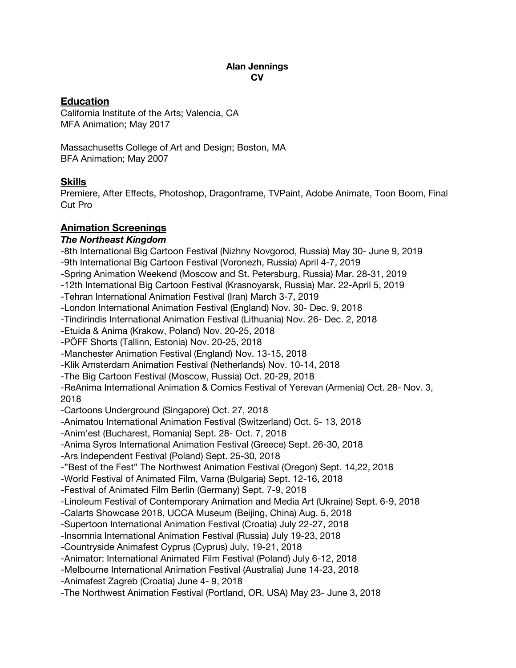#### **Alan Jennings CV**

## **Education**

California Institute of the Arts; Valencia, CA MFA Animation; May 2017

Massachusetts College of Art and Design; Boston, MA BFA Animation; May 2007

## **Skills**

Premiere, After Effects, Photoshop, Dragonframe, TVPaint, Adobe Animate, Toon Boom, Final Cut Pro

## **Animation Screenings**

#### *The Northeast Kingdom*

-8th International Big Cartoon Festival (Nizhny Novgorod, Russia) May 30- June 9, 2019 -9th International Big Cartoon Festival (Voronezh, Russia) April 4-7, 2019 -Spring Animation Weekend (Moscow and St. Petersburg, Russia) Mar. 28-31, 2019 -12th International Big Cartoon Festival (Krasnoyarsk, Russia) Mar. 22-April 5, 2019 -Tehran International Animation Festival (Iran) March 3-7, 2019 -London International Animation Festival (England) Nov. 30- Dec. 9, 2018 -Tindirindis International Animation Festival (Lithuania) Nov. 26- Dec. 2, 2018 -Etuida & Anima (Krakow, Poland) Nov. 20-25, 2018 -PÖFF Shorts (Tallinn, Estonia) Nov. 20-25, 2018 -Manchester Animation Festival (England) Nov. 13-15, 2018 -Klik Amsterdam Animation Festival (Netherlands) Nov. 10-14, 2018 -The Big Cartoon Festival (Moscow, Russia) Oct. 20-29, 2018 -ReAnima International Animation & Comics Festival of Yerevan (Armenia) Oct. 28- Nov. 3, 2018 -Cartoons Underground (Singapore) Oct. 27, 2018 -Animatou International Animation Festival (Switzerland) Oct. 5- 13, 2018 -Anim'est (Bucharest, Romania) Sept. 28- Oct. 7, 2018 -Anima Syros International Animation Festival (Greece) Sept. 26-30, 2018 -Ars Independent Festival (Poland) Sept. 25-30, 2018 -"Best of the Fest" The Northwest Animation Festival (Oregon) Sept. 14,22, 2018 -World Festival of Animated Film, Varna (Bulgaria) Sept. 12-16, 2018 -Festival of Animated Film Berlin (Germany) Sept. 7-9, 2018 -Linoleum Festival of Contemporary Animation and Media Art (Ukraine) Sept. 6-9, 2018 -Calarts Showcase 2018, UCCA Museum (Beijing, China) Aug. 5, 2018 -Supertoon International Animation Festival (Croatia) July 22-27, 2018 -Insomnia International Animation Festival (Russia) July 19-23, 2018 -Countryside Animafest Cyprus (Cyprus) July, 19-21, 2018 -Animator: International Animated Film Festival (Poland) July 6-12, 2018 -Melbourne International Animation Festival (Australia) June 14-23, 2018 -Animafest Zagreb (Croatia) June 4- 9, 2018 -The Northwest Animation Festival (Portland, OR, USA) May 23- June 3, 2018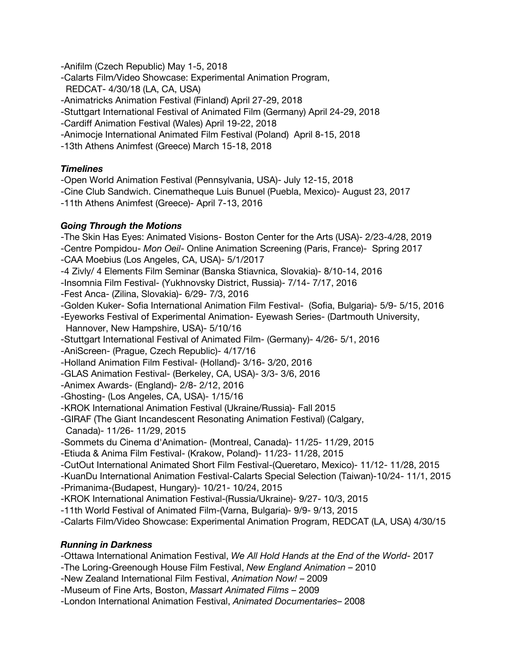-Anifilm (Czech Republic) May 1-5, 2018

- -Calarts Film/Video Showcase: Experimental Animation Program, REDCAT- 4/30/18 (LA, CA, USA)
- -Animatricks Animation Festival (Finland) April 27-29, 2018
- -Stuttgart International Festival of Animated Film (Germany) April 24-29, 2018
- -Cardiff Animation Festival (Wales) April 19-22, 2018
- -Animocje International Animated Film Festival (Poland) April 8-15, 2018
- -13th Athens Animfest (Greece) March 15-18, 2018

## *Timelines*

- -Open World Animation Festival (Pennsylvania, USA)- July 12-15, 2018
- -Cine Club Sandwich. Cinematheque Luis Bunuel (Puebla, Mexico)- August 23, 2017
- -11th Athens Animfest (Greece)- April 7-13, 2016

## *Going Through the Motions*

-The Skin Has Eyes: Animated Visions- Boston Center for the Arts (USA)- 2/23-4/28, 2019

- -Centre Pompidou- *Mon Oeil* Online Animation Screening (Paris, France)- Spring 2017
- -CAA Moebius (Los Angeles, CA, USA)- 5/1/2017
- -4 Zivly/ 4 Elements Film Seminar (Banska Stiavnica, Slovakia)- 8/10-14, 2016
- -Insomnia Film Festival- (Yukhnovsky District, Russia)- 7/14- 7/17, 2016
- -Fest Anca- (Zilina, Slovakia)- 6/29- 7/3, 2016
- -Golden Kuker- Sofia International Animation Film Festival- (Sofia, Bulgaria)- 5/9- 5/15, 2016

-Eyeworks Festival of Experimental Animation- Eyewash Series- (Dartmouth University,

- Hannover, New Hampshire, USA)- 5/10/16
- -Stuttgart International Festival of Animated Film- (Germany)- 4/26- 5/1, 2016
- -AniScreen- (Prague, Czech Republic)- 4/17/16
- -Holland Animation Film Festival- (Holland)- 3/16- 3/20, 2016
- -GLAS Animation Festival- (Berkeley, CA, USA)- 3/3- 3/6, 2016
- -Animex Awards- (England)- 2/8- 2/12, 2016
- -Ghosting- (Los Angeles, CA, USA)- 1/15/16
- -KROK International Animation Festival (Ukraine/Russia)- Fall 2015
- -GIRAF (The Giant Incandescent Resonating Animation Festival) (Calgary,
- Canada)- 11/26- 11/29, 2015
- -Sommets du Cinema d'Animation- (Montreal, Canada)- 11/25- 11/29, 2015
- -Etiuda & Anima Film Festival- (Krakow, Poland)- 11/23- 11/28, 2015
- -CutOut International Animated Short Film Festival-(Queretaro, Mexico)- 11/12- 11/28, 2015
- -KuanDu International Animation Festival-Calarts Special Selection (Taiwan)-10/24- 11/1, 2015
- -Primanima-(Budapest, Hungary)- 10/21- 10/24, 2015
- -KROK International Animation Festival-(Russia/Ukraine)- 9/27- 10/3, 2015
- -11th World Festival of Animated Film-(Varna, Bulgaria)- 9/9- 9/13, 2015
- -Calarts Film/Video Showcase: Experimental Animation Program, REDCAT (LA, USA) 4/30/15

# *Running in Darkness*

- -Ottawa International Animation Festival, *We All Hold Hands at the End of the World* 2017
- -The Loring-Greenough House Film Festival, *New England Animation* 2010
- -New Zealand International Film Festival, *Animation Now!* 2009
- -Museum of Fine Arts, Boston, *Massart Animated Films* 2009
- -London International Animation Festival, *Animated Documentaries* 2008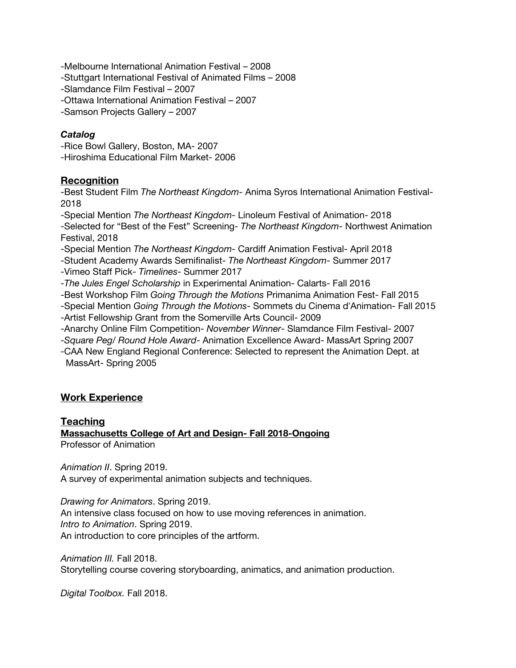-Melbourne International Animation Festival – 2008 -Stuttgart International Festival of Animated Films – 2008 -Slamdance Film Festival – 2007 -Ottawa International Animation Festival – 2007 -Samson Projects Gallery – 2007

## *Catalog*

-Rice Bowl Gallery, Boston, MA- 2007 -Hiroshima Educational Film Market- 2006

## **Recognition**

-Best Student Film *The Northeast Kingdom*- Anima Syros International Animation Festival-2018

-Special Mention *The Northeast Kingdom*- Linoleum Festival of Animation- 2018 -Selected for "Best of the Fest" Screening- *The Northeast Kingdom*- Northwest Animation Festival, 2018

-Special Mention *The Northeast Kingdom*- Cardiff Animation Festival- April 2018

-Student Academy Awards Semifinalist- *The Northeast Kingdom*- Summer 2017

-Vimeo Staff Pick- *Timelines*- Summer 2017

-*The Jules Engel Scholarship* in Experimental Animation- Calarts- Fall 2016

-Best Workshop Film *Going Through the Motions* Primanima Animation Fest- Fall 2015

-Special Mention *Going Through the Motions*- Sommets du Cinema d'Animation- Fall 2015

-Artist Fellowship Grant from the Somerville Arts Council- 2009

-Anarchy Online Film Competition- *November Winner*- Slamdance Film Festival- 2007

-*Square Peg/ Round Hole Award*- Animation Excellence Award- MassArt Spring 2007

-CAA New England Regional Conference: Selected to represent the Animation Dept. at MassArt- Spring 2005

# **Work Experience**

## **Teaching**

**Massachusetts College of Art and Design- Fall 2018-Ongoing** Professor of Animation

*Animation II*. Spring 2019. A survey of experimental animation subjects and techniques.

*Drawing for Animators*. Spring 2019. An intensive class focused on how to use moving references in animation. *Intro to Animation*. Spring 2019. An introduction to core principles of the artform.

*Animation III.* Fall 2018. Storytelling course covering storyboarding, animatics, and animation production.

*Digital Toolbox.* Fall 2018.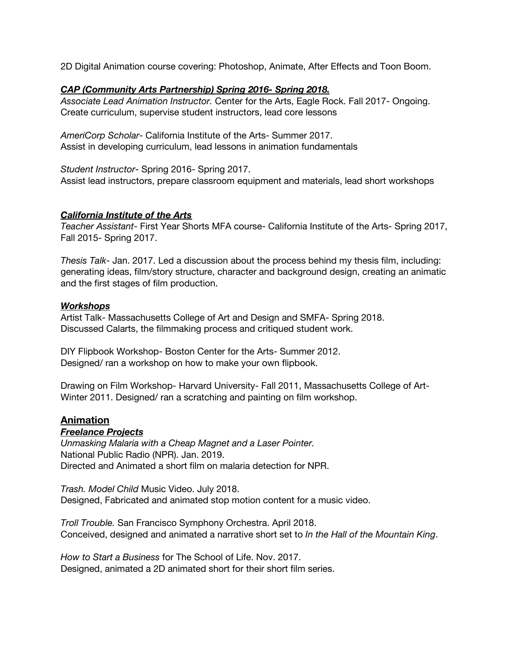2D Digital Animation course covering: Photoshop, Animate, After Effects and Toon Boom.

#### *CAP (Community Arts Partnership) Spring 2016- Spring 2018.*

*Associate Lead Animation Instructor.* Center for the Arts, Eagle Rock. Fall 2017- Ongoing. Create curriculum, supervise student instructors, lead core lessons

*AmeriCorp Scholar*- California Institute of the Arts- Summer 2017. Assist in developing curriculum, lead lessons in animation fundamentals

*Student Instructor*- Spring 2016- Spring 2017. Assist lead instructors, prepare classroom equipment and materials, lead short workshops

#### *California Institute of the Arts*

*Teacher Assistant*- First Year Shorts MFA course- California Institute of the Arts- Spring 2017, Fall 2015- Spring 2017.

*Thesis Talk*- Jan. 2017. Led a discussion about the process behind my thesis film, including: generating ideas, film/story structure, character and background design, creating an animatic and the first stages of film production.

#### *Workshops*

Artist Talk- Massachusetts College of Art and Design and SMFA- Spring 2018. Discussed Calarts, the filmmaking process and critiqued student work.

DIY Flipbook Workshop- Boston Center for the Arts- Summer 2012. Designed/ ran a workshop on how to make your own flipbook.

Drawing on Film Workshop- Harvard University- Fall 2011, Massachusetts College of Art-Winter 2011. Designed/ ran a scratching and painting on film workshop.

#### **Animation**

#### *Freelance Projects*

*Unmasking Malaria with a Cheap Magnet and a Laser Pointer.* National Public Radio (NPR). Jan. 2019. Directed and Animated a short film on malaria detection for NPR.

*Trash. Model Child* Music Video. July 2018. Designed, Fabricated and animated stop motion content for a music video.

*Troll Trouble.* San Francisco Symphony Orchestra. April 2018. Conceived, designed and animated a narrative short set to *In the Hall of the Mountain King*.

*How to Start a Business* for The School of Life. Nov. 2017. Designed, animated a 2D animated short for their short film series.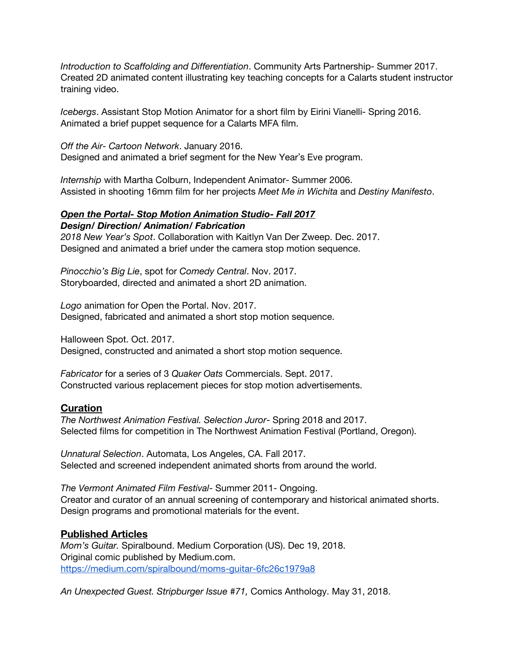*Introduction to Scaffolding and Differentiation*. Community Arts Partnership- Summer 2017. Created 2D animated content illustrating key teaching concepts for a Calarts student instructor training video.

*Icebergs*. Assistant Stop Motion Animator for a short film by Eirini Vianelli- Spring 2016. Animated a brief puppet sequence for a Calarts MFA film.

*Off the Air- Cartoon Network*. January 2016. Designed and animated a brief segment for the New Year's Eve program.

*Internship* with Martha Colburn, Independent Animator- Summer 2006. Assisted in shooting 16mm film for her projects *Meet Me in Wichita* and *Destiny Manifesto*.

#### *Open the Portal- Stop Motion Animation Studio- Fall 2017 Design/ Direction/ Animation/ Fabrication*

*2018 New Year's Spot*. Collaboration with Kaitlyn Van Der Zweep. Dec. 2017. Designed and animated a brief under the camera stop motion sequence.

*Pinocchio's Big Lie*, spot for *Comedy Central*. Nov. 2017. Storyboarded, directed and animated a short 2D animation.

*Logo* animation for Open the Portal. Nov. 2017. Designed, fabricated and animated a short stop motion sequence.

Halloween Spot. Oct. 2017. Designed, constructed and animated a short stop motion sequence.

*Fabricator* for a series of 3 *Quaker Oats* Commercials. Sept. 2017. Constructed various replacement pieces for stop motion advertisements.

## **Curation**

*The Northwest Animation Festival. Selection Juror*- Spring 2018 and 2017. Selected films for competition in The Northwest Animation Festival (Portland, Oregon).

*Unnatural Selection*. Automata, Los Angeles, CA. Fall 2017. Selected and screened independent animated shorts from around the world.

*The Vermont Animated Film Festival*- Summer 2011- Ongoing. Creator and curator of an annual screening of contemporary and historical animated shorts. Design programs and promotional materials for the event.

## **Published Articles**

*Mom's Guitar.* Spiralbound. Medium Corporation (US). Dec 19, 2018. Original comic published by Medium.com. <https://medium.com/spiralbound/moms-guitar-6fc26c1979a8>

*An Unexpected Guest. Stripburger Issue #71,* Comics Anthology. May 31, 2018.